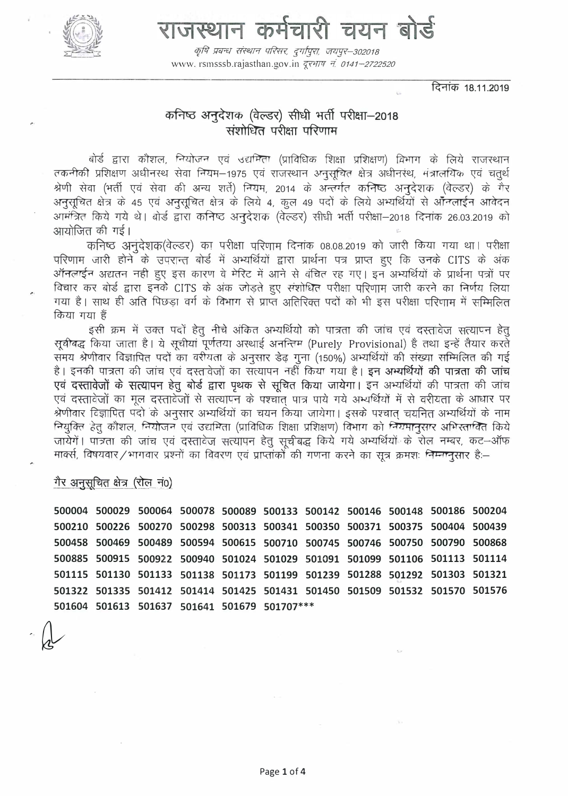

# राजस्थान कर्मचारी चयन बोड़े

कृषि प्रबन्धः संस्थान परिसरः, दुर्गापुराः, जयपुर–302018 www.rsmsssb.rajasthan.gov.in दूरभाष नं 0141-2722520

दिनांक 18.11.2019

## कनिष्ठ अनुदेशक (वेल्डर) सीधी भर्ती परीक्षा-2018 संशोधित परीक्षा परिणाम

बोर्ड द्वारा कौशल, नियोजन एवं उद्यमिता (प्राविधिक शिक्षा प्रशिक्षण) विभाग के लिये राजस्थान तकनीकी प्रशिक्षण अधीनस्थ सेवा नियम-1975 एवं राजस्थान अनुसुचित क्षेत्र अधीनस्थ, मंत्रालयिक एवं चतुर्थ श्रेणी सेवा (भर्ती एवं सेवा की अन्य शर्ते) नियम, 2014 के अन्तर्गत कनिष्ठ अनुदेशक (वेल्डर) के गैर अनुसूचित क्षेत्र के 45 एवं अनुसूचित क्षेत्र के लिये 4, कूल 49 पदों के लिये अभ्यर्थियों से ऑनलाईन आवेदन आमंत्रित किये गये थे। बोर्ड द्वारा कनिष्ठ अनुदेशक (वेल्डर) सीधी भर्ती परीक्षा-2018 दिनांक 26.03.2019 को आयोजित की गई।

कनिष्ठ अनुदेशक(वेल्डर) का परीक्षा परिणाम दिनांक 08.08.2019 को जारी किया गया था। परीक्षा परिणाम जारी होने के उपरान्त बोर्ड में अभ्यर्थियों द्वारा प्रार्थना पत्र प्राप्त हुए कि उनके CITS के अंक ऑनलाईन अद्यतन नही हुए इस कारण वे मेरिट में आने से वंचित रह गए। इन अभ्यर्थियों के प्रार्थना पत्रों पर विचार कर बोर्ड द्वारा इनके CITS के अंक जोड़ते हुए संशोधित परीक्षा परिणाम जारी करने का निर्णय लिया गया है। साथ ही अति पिछड़ा वर्ग के विभाग से प्राप्त अतिरिक्त पदों को भी इस परीक्षा परिणाम में सम्मिलित किया गया हैं

इसी क्रम में उक्त पदों हेतू नीचे अंकित अभ्यर्थियो को पात्रता की जांच एवं दस्तावेज सत्यापन हेतू सवीबद्ध किया जाता है। ये सचीयां पूर्णतया अस्थाई अनन्तिम (Purely Provisional) है तथा इन्हें तैयार करते समय श्रेणीवार विज्ञापित पदों का वरीयता के अनुसार डेढ़ गुना (150%) अभ्यर्थियों की संख्या सम्मिलित की गई है। इनकी पात्रता की जांच एवं दस्तावेजों का सत्यापन नहीं किया गया है। इन अभ्यर्थियों की पात्रता की जांच एवं दस्तावेजों के सत्यापन हेतू बोर्ड द्वारा पृथक से सूचित किया जायेगा। इन अभ्यर्थियों की पात्रता की जांच एवं दस्तावेजों का मूल दस्तावेजों से सत्यापन के पश्चांत पात्र पाये गये अभ्यर्थियों में से वरीयता के आधार पर श्रेणीवार विज्ञापित पदों के अनुसार अभ्यर्थियों का चयन किया जायेगा। इसके पश्चात चयनित अभ्यर्थियों के नाम नियुक्ति हेतू कौशल, नियोजन एवं उद्यमिता (प्राविधिक शिक्षा प्रशिक्षण) विभाग को नियमानुसार अभिस्तावित किये जायेंगें। पांजता की जांच एवं दस्तावेज सत्यापन हेतू सूचीबद्ध किये गये अभ्यर्थियों के रोल नम्बर, कट-ऑफ मार्क्स, विषयवार/भागवार प्रश्नों का विवरण एवं प्राप्तांकों की गणना करने का सूत्र क्रमशः निम्नानुसार है:--

गैर अनुसूचित क्षेत्र (रोल नं0)

500004 500029 500064 500078 500089 500133 500142 500146 500148 500186 500204 500210 500226 500270 500298 500313 500341 500350 500371 500375 500404 500439 500458 500469 500489 500594 500615 500710 500745 500746 500750 500790 500868 500885 500915 500922 500940 501024 501029 501091 501099 501106 501113 501114 501115 501130 501133 501138 501173 501199 501239 501288 501292 501303 501321 501322 501335 501412 501414 501425 501431 501450 501509 501532 501570 501576 501604 501613 501637 501641 501679 501707\*\*\*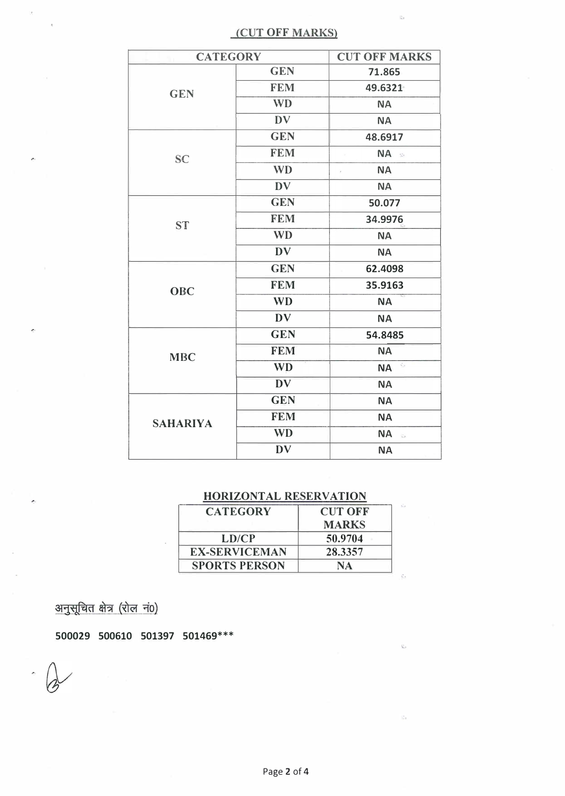### (CUT OFF MARKS)

ß.

 $\tilde{Q}_{\rm eff}$ 

| <b>CATEGORY</b> |            | <b>CUT OFF MARKS</b>                                 |
|-----------------|------------|------------------------------------------------------|
| <b>GEN</b>      | <b>GEN</b> | 71.865                                               |
|                 | <b>FEM</b> | 49.6321                                              |
|                 | <b>WD</b>  | <b>NA</b>                                            |
|                 | <b>DV</b>  | <b>NA</b>                                            |
|                 | <b>GEN</b> | 48.6917                                              |
| <b>SC</b>       | <b>FEM</b> | NA &                                                 |
|                 | <b>WD</b>  | <b>NA</b><br>ý.                                      |
|                 | <b>DV</b>  | <b>NA</b>                                            |
| <b>ST</b>       | <b>GEN</b> | 50.077                                               |
|                 | <b>FEM</b> | 34.9976                                              |
|                 | <b>WD</b>  | <b>NA</b>                                            |
|                 | <b>DV</b>  | <b>NA</b>                                            |
| <b>OBC</b>      | <b>GEN</b> | 62.4098                                              |
|                 | <b>FEM</b> | 35.9163                                              |
|                 | <b>WD</b>  | <b>NA</b>                                            |
|                 | <b>DV</b>  | <b>NA</b>                                            |
|                 | <b>GEN</b> | 54.8485                                              |
| <b>MBC</b>      | <b>FEM</b> | <b>NA</b>                                            |
|                 | <b>WD</b>  | $\mathcal{L}_{\rm{in}}$<br><b>NA</b>                 |
|                 | <b>DV</b>  | <b>NA</b>                                            |
|                 | <b>GEN</b> | <b>NA</b>                                            |
| <b>SAHARIYA</b> | <b>FEM</b> | <b>NA</b>                                            |
|                 | <b>WD</b>  | <b>NA</b><br>$\frac{1}{2} \sum_{i=1}^n \frac{1}{i!}$ |
|                 | <b>DV</b>  | <b>NA</b>                                            |

## HORIZONTAL RESERVATION

| <b>CATEGORY</b>      | <b>CUT OFF</b> |  |
|----------------------|----------------|--|
|                      | <b>MARKS</b>   |  |
| LD/CP                | 50.9704        |  |
| <b>EX-SERVICEMAN</b> | 28.3357        |  |
| <b>SPORTS PERSON</b> | NA             |  |

अनुसूचित क्षेत्र (रोल नं0)

500029 500610 501397 501469\*\*\*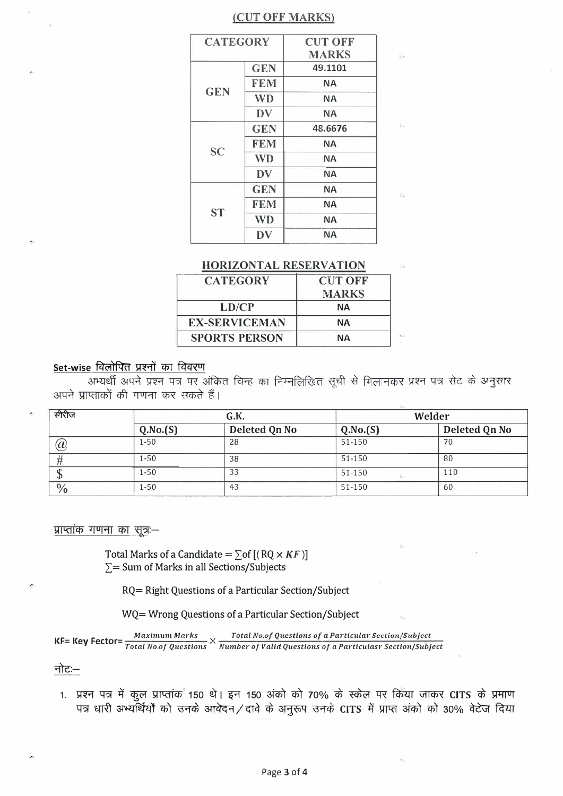#### (CUT OFF MARKS)

| <b>CATEGORY</b> |            | <b>CUT OFF</b> |  |
|-----------------|------------|----------------|--|
|                 |            | <b>MARKS</b>   |  |
| <b>GEN</b>      | <b>GEN</b> | 49.1101        |  |
|                 | <b>FEM</b> | <b>NA</b>      |  |
|                 | <b>WD</b>  | ΝA             |  |
|                 | DV         | <b>NA</b>      |  |
| <b>SC</b>       | <b>GEN</b> | 48.6676        |  |
|                 | <b>FEM</b> | <b>NA</b>      |  |
|                 | <b>WD</b>  | <b>NA</b>      |  |
|                 | DV         | <b>NA</b>      |  |
|                 | <b>GEN</b> | <b>NA</b>      |  |
|                 | <b>FEM</b> | <b>NA</b>      |  |
| <b>ST</b>       | <b>WD</b>  | <b>NA</b>      |  |
|                 | DV         | <b>NA</b>      |  |

#### **HORIZONTAL RESERVATION**

| <b>CATEGORY</b> |                      | <b>CUT OFF</b> |  |
|-----------------|----------------------|----------------|--|
|                 |                      | <b>MARKS</b>   |  |
|                 | LD/CP                | NА             |  |
|                 | EX-SERVICEMAN        | <b>NA</b>      |  |
|                 | <b>SPORTS PERSON</b> | NА             |  |
|                 |                      |                |  |

#### Set-wise विलोपित प्रश्नों का विवरण

अपने प्राप्तांकों की गणना कर सकते हैं।

| सीरीज         |          | G.K.          | Welder                 |               |
|---------------|----------|---------------|------------------------|---------------|
|               | Q.No.(S) | Deleted Qn No | Q.No.(S)               | Deleted Qn No |
| $\widehat{a}$ | $1 - 50$ | 28            | 51-150                 | 70            |
|               | $1 - 50$ | 38            | 51-150                 | 80            |
|               | $1 - 50$ | 33            | 51-150<br>$R_{\infty}$ | 110           |
| $\%$          | $1 - 50$ | 43            | 51-150                 | 60            |

#### प्राप्तांक गणना का सूत्र:–

Total Marks of a Candidate =  $\sum$  of [(RQ  $\times$  KF)]  $\Sigma$  = Sum of Marks in all Sections/Subjects

RQ= Right Questions of a Particular Section/Subject

WQ= Wrong Questions of a Particular Section/Subject

 $\frac{Maximum \textit{ Marks}}{Total \textit{No.of Questions}} \times \frac{Total \textit{No.of Questions of a Particular Section/Subject}}{Number \textit{of Values} to the first part of a Particular Section/Subject}$ **KF= Key Fector=** 

नोटः–

1. प्रश्न पत्र में कुल प्राप्तांक 150 थे। इन 150 अंको को 70% के स्केल पर किया जाकर CITS के प्रमाण पत्र धारी अभ्यर्थियों को उनके आवेदन/दावे के अनुरूप उनके CITS में प्राप्त अंको को 30% वेटेज दिया